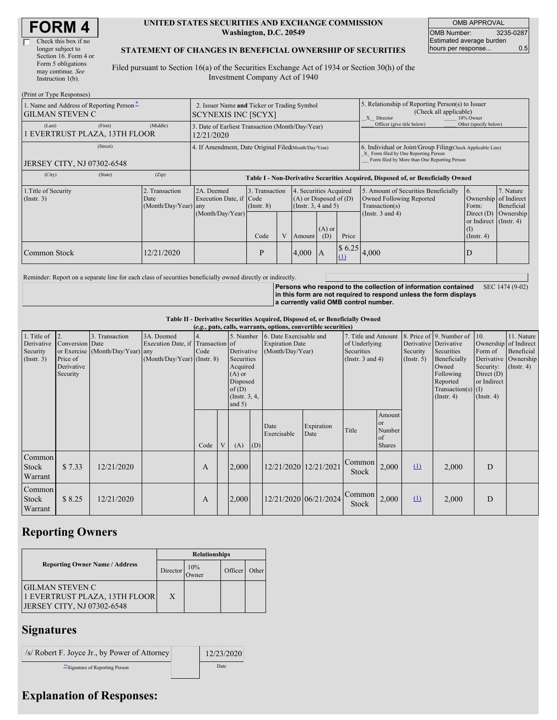$(D_{\text{rint}} \text{ or } T)$ 

#### **UNITED STATES SECURITIES AND EXCHANGE COMMISSION Washington, D.C. 20549**

OMB APPROVAL OMB Number: 3235-0287 Estimated average burden hours per response... 0.5

### **STATEMENT OF CHANGES IN BENEFICIAL OWNERSHIP OF SECURITIES**

Filed pursuant to Section 16(a) of the Securities Exchange Act of 1934 or Section 30(h) of the Investment Company Act of 1940

| (FILLE OF TYPE INESPOISES)<br>1. Name and Address of Reporting Person-<br><b>GILMAN STEVEN C</b> | 2. Issuer Name and Ticker or Trading Symbol<br><b>SCYNEXIS INC [SCYX]</b> |                                                                                  |                                            |   |        |                                                                                                          | 5. Relationship of Reporting Person(s) to Issuer<br>(Check all applicable)<br>X Director<br>10% Owner                                              |                                                                                                             |                                                                                                |                                      |
|--------------------------------------------------------------------------------------------------|---------------------------------------------------------------------------|----------------------------------------------------------------------------------|--------------------------------------------|---|--------|----------------------------------------------------------------------------------------------------------|----------------------------------------------------------------------------------------------------------------------------------------------------|-------------------------------------------------------------------------------------------------------------|------------------------------------------------------------------------------------------------|--------------------------------------|
| (First)<br>(Last)<br>EVERTRUST PLAZA, 13TH FLOOR                                                 | (Middle)                                                                  | 3. Date of Earliest Transaction (Month/Day/Year)<br>12/21/2020                   |                                            |   |        |                                                                                                          |                                                                                                                                                    | Officer (give title below)                                                                                  | Other (specify below)                                                                          |                                      |
| (Street)<br>JERSEY CITY, NJ 07302-6548                                                           | 4. If Amendment, Date Original Filed Month/Day/Year)                      |                                                                                  |                                            |   |        |                                                                                                          | 6. Individual or Joint/Group Filing(Check Applicable Line)<br>X Form filed by One Reporting Person<br>Form filed by More than One Reporting Person |                                                                                                             |                                                                                                |                                      |
| (City)<br>(State)                                                                                | (Zip)                                                                     | Table I - Non-Derivative Securities Acquired, Disposed of, or Beneficially Owned |                                            |   |        |                                                                                                          |                                                                                                                                                    |                                                                                                             |                                                                                                |                                      |
| 1. Title of Security<br>2. Transaction<br>$($ Instr. 3 $)$<br>Date<br>(Month/Day/Year) any       |                                                                           | 2A. Deemed<br>Execution Date, if Code<br>(Month/Day/Year)                        | 3. Transaction<br>$($ Instr. 8 $)$<br>Code | V | Amount | 4. Securities Acquired<br>$(A)$ or Disposed of $(D)$<br>(Insert. 3, 4 and 5)<br>$(A)$ or<br>Price<br>(D) |                                                                                                                                                    | 5. Amount of Securities Beneficially<br>Owned Following Reported<br>Transaction(s)<br>(Instr. $3$ and $4$ ) | 16.<br>Ownership of Indirect<br>Form:<br>Direct $(D)$<br>or Indirect (Instr. 4)<br>(Insert. 4) | 7. Nature<br>Beneficial<br>Ownership |
| Common Stock                                                                                     | 12/21/2020                                                                |                                                                                  | P                                          |   | 4,000  | $\mathsf{I}$ A                                                                                           | \$6.25<br>$\Omega$                                                                                                                                 | 4,000                                                                                                       | D                                                                                              |                                      |

Reminder: Report on a separate line for each class of securities beneficially owned directly or indirectly.

**Persons who respond to the collection of information contained in this form are not required to respond unless the form displays a currently valid OMB control number.** SEC 1474 (9-02)

**Table II - Derivative Securities Acquired, Disposed of, or Beneficially Owned**

| (e.g., puts, calls, warrants, options, convertible securities) |                                                                 |                                                    |                                                                                  |      |   |                                                                                                                    |     |                                                                                                                                                      |                       |                 |                                                          |                                                                                                                                      |                                                                                                         |                                                                        |  |
|----------------------------------------------------------------|-----------------------------------------------------------------|----------------------------------------------------|----------------------------------------------------------------------------------|------|---|--------------------------------------------------------------------------------------------------------------------|-----|------------------------------------------------------------------------------------------------------------------------------------------------------|-----------------------|-----------------|----------------------------------------------------------|--------------------------------------------------------------------------------------------------------------------------------------|---------------------------------------------------------------------------------------------------------|------------------------------------------------------------------------|--|
| 1. Title of<br>Derivative<br>Security<br>(Insert. 3)           | $ 2$ .<br>Conversion Date<br>Price of<br>Derivative<br>Security | 3. Transaction<br>or Exercise (Month/Day/Year) any | 3A. Deemed<br>Execution Date, if Transaction of<br>$(Month/Day/Year)$ (Instr. 8) | Code |   | 5. Number<br>Derivative<br>Securities<br>Acquired<br>$(A)$ or<br>Disposed<br>of $(D)$<br>(Instr. 3, 4,<br>and $5)$ |     | 6. Date Exercisable and<br>7. Title and Amount<br>of Underlying<br><b>Expiration Date</b><br>(Month/Day/Year)<br>Securities<br>(Instr. $3$ and $4$ ) |                       |                 | Derivative Derivative<br>Security<br>(Insert. 5)         | 8. Price of 9. Number of<br>Securities<br>Beneficially<br>Owned<br>Following<br>Reported<br>Transaction(s) $(I)$<br>$($ Instr. 4 $)$ | 10.<br>Ownership of Indirect<br>Form of<br>Security:<br>Direct $(D)$<br>or Indirect<br>$($ Instr. 4 $)$ | 11. Nature<br>Beneficial<br>Derivative   Ownership<br>$($ Instr. 4 $)$ |  |
|                                                                |                                                                 |                                                    |                                                                                  | Code | V | (A)                                                                                                                | (D) | Date<br>Exercisable                                                                                                                                  | Expiration<br>Date    | Title           | Amount<br><sub>or</sub><br>Number<br>of<br><b>Shares</b> |                                                                                                                                      |                                                                                                         |                                                                        |  |
| Common<br>Stock<br>Warrant                                     | \$7.33                                                          | 12/21/2020                                         |                                                                                  | A    |   | 2,000                                                                                                              |     | 12/21/2020 12/21/2021                                                                                                                                |                       | Common<br>Stock | 2,000                                                    | $\Omega$                                                                                                                             | 2,000                                                                                                   | D                                                                      |  |
| Common<br>Stock<br>Warrant                                     | \$8.25                                                          | 12/21/2020                                         |                                                                                  | A    |   | 2,000                                                                                                              |     |                                                                                                                                                      | 12/21/2020 06/21/2024 | Common<br>Stock | 2,000                                                    | $\Omega$                                                                                                                             | 2,000                                                                                                   | D                                                                      |  |

# **Reporting Owners**

|                                                                                       | <b>Relationships</b> |                      |         |       |  |  |  |  |
|---------------------------------------------------------------------------------------|----------------------|----------------------|---------|-------|--|--|--|--|
| <b>Reporting Owner Name / Address</b>                                                 | Director             | 10%<br><b>J</b> wner | Officer | Other |  |  |  |  |
| <b>GILMAN STEVEN C</b><br>1 EVERTRUST PLAZA, 13TH FLOOR<br>JERSEY CITY, NJ 07302-6548 | X                    |                      |         |       |  |  |  |  |

# **Signatures**

| /s/ Robert F. Joyce Jr., by Power of Attorney | 12/23/2020 |
|-----------------------------------------------|------------|
| Signature of Reporting Person                 | Date       |

# **Explanation of Responses:**